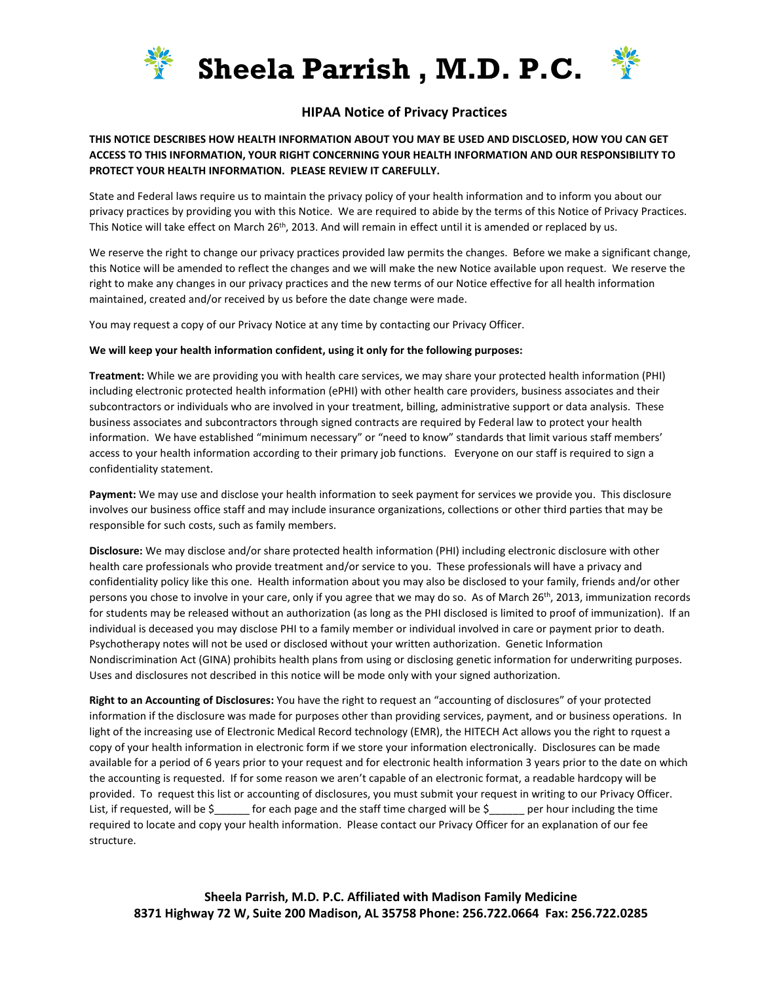



### **HIPAA Notice of Privacy Practices**

#### **THIS NOTICE DESCRIBES HOW HEALTH INFORMATION ABOUT YOU MAY BE USED AND DISCLOSED, HOW YOU CAN GET ACCESS TO THIS INFORMATION, YOUR RIGHT CONCERNING YOUR HEALTH INFORMATION AND OUR RESPONSIBILITY TO PROTECT YOUR HEALTH INFORMATION. PLEASE REVIEW IT CAREFULLY.**

State and Federal laws require us to maintain the privacy policy of your health information and to inform you about our privacy practices by providing you with this Notice. We are required to abide by the terms of this Notice of Privacy Practices. This Notice will take effect on March 26<sup>th</sup>, 2013. And will remain in effect until it is amended or replaced by us.

We reserve the right to change our privacy practices provided law permits the changes. Before we make a significant change, this Notice will be amended to reflect the changes and we will make the new Notice available upon request. We reserve the right to make any changes in our privacy practices and the new terms of our Notice effective for all health information maintained, created and/or received by us before the date change were made.

You may request a copy of our Privacy Notice at any time by contacting our Privacy Officer.

#### **We will keep your health information confident, using it only for the following purposes:**

**Treatment:** While we are providing you with health care services, we may share your protected health information (PHI) including electronic protected health information (ePHI) with other health care providers, business associates and their subcontractors or individuals who are involved in your treatment, billing, administrative support or data analysis. These business associates and subcontractors through signed contracts are required by Federal law to protect your health information. We have established "minimum necessary" or "need to know" standards that limit various staff members' access to your health information according to their primary job functions. Everyone on our staff is required to sign a confidentiality statement.

**Payment:** We may use and disclose your health information to seek payment for services we provide you. This disclosure involves our business office staff and may include insurance organizations, collections or other third parties that may be responsible for such costs, such as family members.

**Disclosure:** We may disclose and/or share protected health information (PHI) including electronic disclosure with other health care professionals who provide treatment and/or service to you. These professionals will have a privacy and confidentiality policy like this one. Health information about you may also be disclosed to your family, friends and/or other persons you chose to involve in your care, only if you agree that we may do so. As of March 26<sup>th</sup>, 2013, immunization records for students may be released without an authorization (as long as the PHI disclosed is limited to proof of immunization). If an individual is deceased you may disclose PHI to a family member or individual involved in care or payment prior to death. Psychotherapy notes will not be used or disclosed without your written authorization. Genetic Information Nondiscrimination Act (GINA) prohibits health plans from using or disclosing genetic information for underwriting purposes. Uses and disclosures not described in this notice will be mode only with your signed authorization.

**Right to an Accounting of Disclosures:** You have the right to request an "accounting of disclosures" of your protected information if the disclosure was made for purposes other than providing services, payment, and or business operations. In light of the increasing use of Electronic Medical Record technology (EMR), the HITECH Act allows you the right to rquest a copy of your health information in electronic form if we store your information electronically. Disclosures can be made available for a period of 6 years prior to your request and for electronic health information 3 years prior to the date on which the accounting is requested. If for some reason we aren't capable of an electronic format, a readable hardcopy will be provided. To request this list or accounting of disclosures, you must submit your request in writing to our Privacy Officer. List, if requested, will be  $\zeta$  for each page and the staff time charged will be  $\zeta$  per hour including the time required to locate and copy your health information. Please contact our Privacy Officer for an explanation of our fee structure.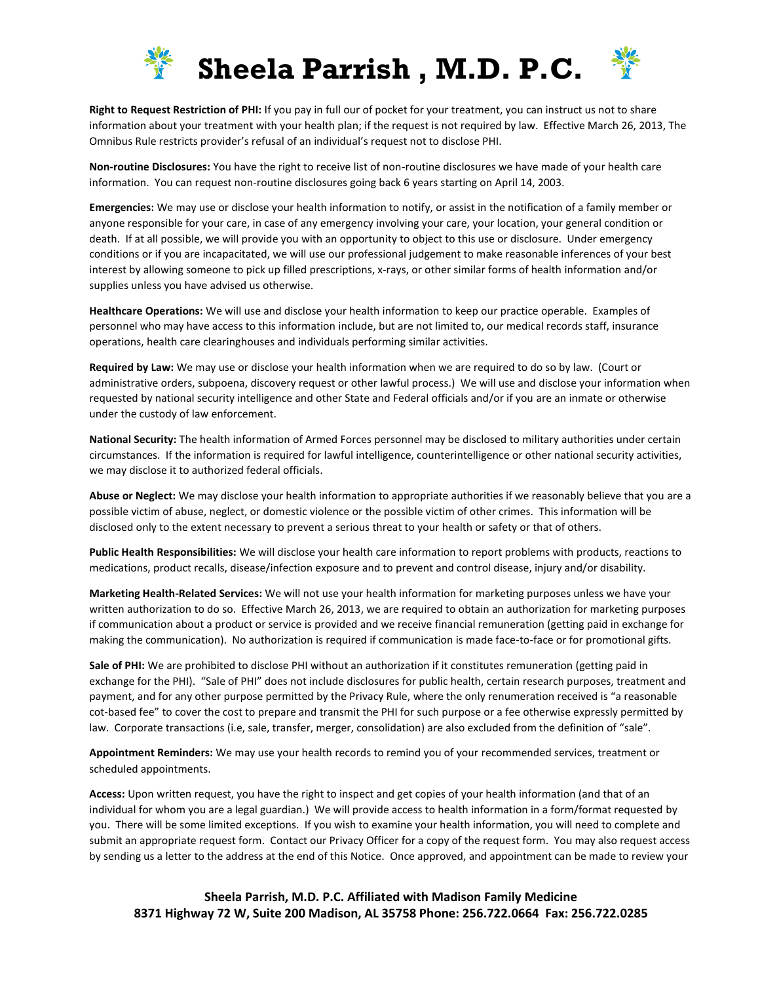



**Right to Request Restriction of PHI:** If you pay in full our of pocket for your treatment, you can instruct us not to share information about your treatment with your health plan; if the request is not required by law. Effective March 26, 2013, The Omnibus Rule restricts provider's refusal of an individual's request not to disclose PHI.

**Non-routine Disclosures:** You have the right to receive list of non-routine disclosures we have made of your health care information. You can request non-routine disclosures going back 6 years starting on April 14, 2003.

**Emergencies:** We may use or disclose your health information to notify, or assist in the notification of a family member or anyone responsible for your care, in case of any emergency involving your care, your location, your general condition or death. If at all possible, we will provide you with an opportunity to object to this use or disclosure. Under emergency conditions or if you are incapacitated, we will use our professional judgement to make reasonable inferences of your best interest by allowing someone to pick up filled prescriptions, x-rays, or other similar forms of health information and/or supplies unless you have advised us otherwise.

**Healthcare Operations:** We will use and disclose your health information to keep our practice operable. Examples of personnel who may have access to this information include, but are not limited to, our medical records staff, insurance operations, health care clearinghouses and individuals performing similar activities.

**Required by Law:** We may use or disclose your health information when we are required to do so by law. (Court or administrative orders, subpoena, discovery request or other lawful process.) We will use and disclose your information when requested by national security intelligence and other State and Federal officials and/or if you are an inmate or otherwise under the custody of law enforcement.

**National Security:** The health information of Armed Forces personnel may be disclosed to military authorities under certain circumstances. If the information is required for lawful intelligence, counterintelligence or other national security activities, we may disclose it to authorized federal officials.

**Abuse or Neglect:** We may disclose your health information to appropriate authorities if we reasonably believe that you are a possible victim of abuse, neglect, or domestic violence or the possible victim of other crimes. This information will be disclosed only to the extent necessary to prevent a serious threat to your health or safety or that of others.

**Public Health Responsibilities:** We will disclose your health care information to report problems with products, reactions to medications, product recalls, disease/infection exposure and to prevent and control disease, injury and/or disability.

**Marketing Health-Related Services:** We will not use your health information for marketing purposes unless we have your written authorization to do so. Effective March 26, 2013, we are required to obtain an authorization for marketing purposes if communication about a product or service is provided and we receive financial remuneration (getting paid in exchange for making the communication). No authorization is required if communication is made face-to-face or for promotional gifts.

**Sale of PHI:** We are prohibited to disclose PHI without an authorization if it constitutes remuneration (getting paid in exchange for the PHI). "Sale of PHI" does not include disclosures for public health, certain research purposes, treatment and payment, and for any other purpose permitted by the Privacy Rule, where the only renumeration received is "a reasonable cot-based fee" to cover the cost to prepare and transmit the PHI for such purpose or a fee otherwise expressly permitted by law. Corporate transactions (i.e, sale, transfer, merger, consolidation) are also excluded from the definition of "sale".

**Appointment Reminders:** We may use your health records to remind you of your recommended services, treatment or scheduled appointments.

**Access:** Upon written request, you have the right to inspect and get copies of your health information (and that of an individual for whom you are a legal guardian.) We will provide access to health information in a form/format requested by you. There will be some limited exceptions. If you wish to examine your health information, you will need to complete and submit an appropriate request form. Contact our Privacy Officer for a copy of the request form. You may also request access by sending us a letter to the address at the end of this Notice. Once approved, and appointment can be made to review your

**Sheela Parrish, M.D. P.C. Affiliated with Madison Family Medicine 8371 Highway 72 W, Suite 200 Madison, AL 35758 Phone: 256.722.0664 Fax: 256.722.0285**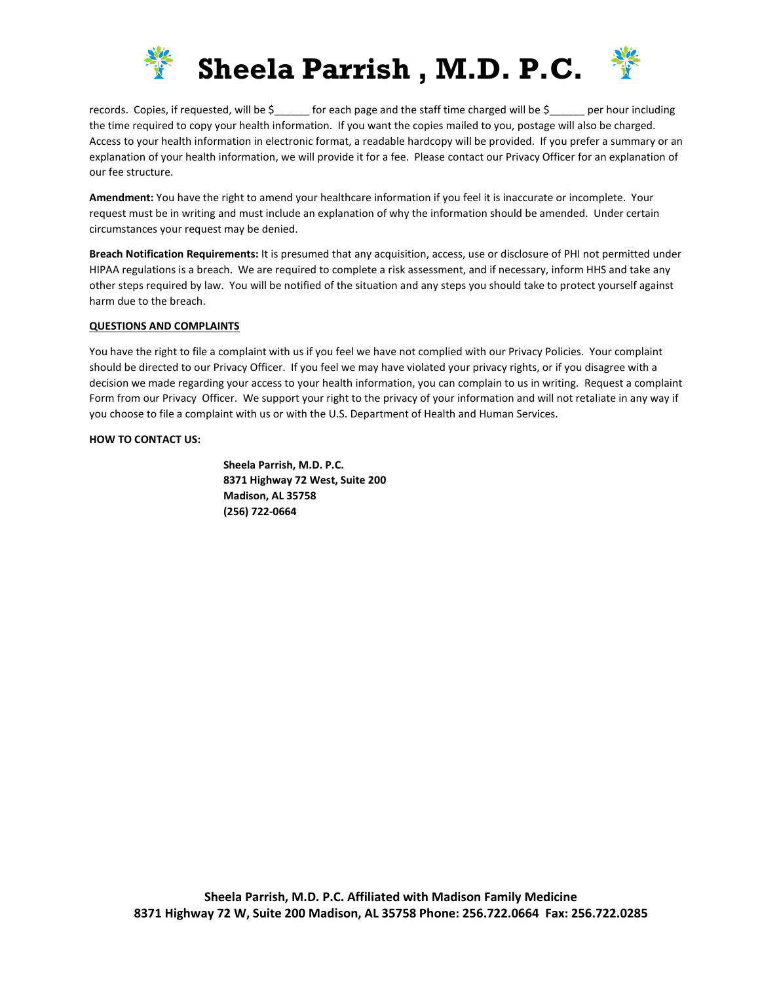



records. Copies, if requested, will be  $\zeta$  for each page and the staff time charged will be  $\zeta$  per hour including the time required to copy your health information. If you want the copies mailed to you, postage will also be charged. Access to your health information in electronic format, a readable hardcopy will be provided. If you prefer a summary or an explanation of your health information, we will provide it for a fee. Please contact our Privacy Officer for an explanation of our fee structure.

**Amendment:** You have the right to amend your healthcare information if you feel it is inaccurate or incomplete. Your request must be in writing and must include an explanation of why the information should be amended. Under certain circumstances your request may be denied.

**Breach Notification Requirements:** It is presumed that any acquisition, access, use or disclosure of PHI not permitted under HIPAA regulations is a breach. We are required to complete a risk assessment, and if necessary, inform HHS and take any other steps required by law. You will be notified of the situation and any steps you should take to protect yourself against harm due to the breach.

#### **QUESTIONS AND COMPLAINTS**

You have the right to file a complaint with us if you feel we have not complied with our Privacy Policies. Your complaint should be directed to our Privacy Officer. If you feel we may have violated your privacy rights, or if you disagree with a decision we made regarding your access to your health information, you can complain to us in writing. Request a complaint Form from our Privacy Officer. We support your right to the privacy of your information and will not retaliate in any way if you choose to file a complaint with us or with the U.S. Department of Health and Human Services.

#### **HOW TO CONTACT US:**

**Sheela Parrish, M.D. P.C. 8371 Highway 72 West, Suite 200 Madison, AL 35758 (256) 722-0664**